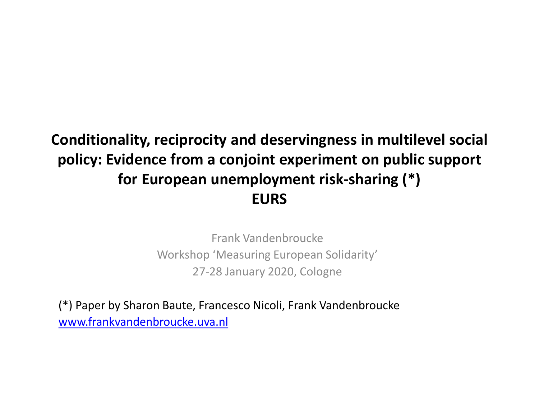# **Conditionality, reciprocity and deservingness in multilevel social policy: Evidence from a conjoint experiment on public support for European unemployment risk-sharing (\*) EURS**

Frank Vandenbroucke Workshop 'Measuring European Solidarity' 27-28 January 2020, Cologne

(\*) Paper by Sharon Baute, Francesco Nicoli, Frank Vandenbroucke [www.frankvandenbroucke.uva.nl](http://www.frankvandenbroucke.uva.nl/)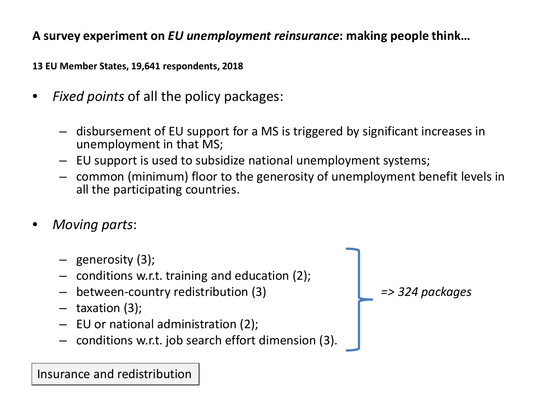**A survey experiment on** *EU unemployment reinsurance***: making people think…**

**13 EU Member States, 19,641 respondents, 2018**

- *Fixed points* of all the policy packages:
	- disbursement of EU support for a MS is triggered by significant increases in unemployment in that MS;
	- EU support is used to subsidize national unemployment systems;
	- common (minimum) floor to the generosity of unemployment benefit levels in all the participating countries.
- *Moving parts*:
	- generosity (3);
	- conditions w.r.t. training and education (2);
	- between-country redistribution (3) *=> 324 packages*
	- taxation (3);
	- EU or national administration (2);
	- conditions w.r.t. job search effort dimension (3).

Insurance and redistribution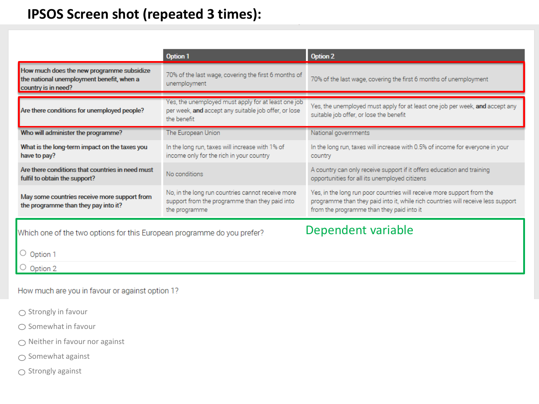# **IPSOS Screen shot (repeated 3 times):**

|                                                                                                               | Option 1                                                                                                                   | <b>Option 2</b>                                                                                                                                                                                         |  |  |
|---------------------------------------------------------------------------------------------------------------|----------------------------------------------------------------------------------------------------------------------------|---------------------------------------------------------------------------------------------------------------------------------------------------------------------------------------------------------|--|--|
| How much does the new programme subsidize<br>the national unemployment benefit, when a<br>country is in need? | 70% of the last wage, covering the first 6 months of<br>unemployment                                                       | 70% of the last wage, covering the first 6 months of unemployment                                                                                                                                       |  |  |
| Are there conditions for unemployed people?                                                                   | Yes, the unemployed must apply for at least one job<br>per week, and accept any suitable job offer, or lose<br>the benefit | Yes, the unemployed must apply for at least one job per week, and accept any<br>suitable job offer, or lose the benefit                                                                                 |  |  |
| Who will administer the programme?                                                                            | The European Union                                                                                                         | National governments                                                                                                                                                                                    |  |  |
| What is the long-term impact on the taxes you<br>have to pay?                                                 | In the long run, taxes will increase with 1% of<br>income only for the rich in your country                                | In the long run, taxes will increase with 0.5% of income for everyone in your<br>country                                                                                                                |  |  |
| Are there conditions that countries in need must<br>fulfil to obtain the support?                             | No conditions                                                                                                              | A country can only receive support if it offers education and training<br>opportunities for all its unemployed citizens                                                                                 |  |  |
| May some countries receive more support from<br>the programme than they pay into it?                          | No, in the long run countries cannot receive more<br>support from the programme than they paid into<br>the programme       | Yes, in the long run poor countries will receive more support from the<br>programme than they paid into it, while rich countries will receive less support<br>from the programme than they paid into it |  |  |
| Dependent variable<br>Which one of the two options for this European programme do you prefer?                 |                                                                                                                            |                                                                                                                                                                                                         |  |  |
| $\circ$ Option 1                                                                                              |                                                                                                                            |                                                                                                                                                                                                         |  |  |

 $\circ$  Option 2

How much are you in favour or against option 1?

 $\bigcirc$  Strongly in favour

 $\bigcirc$  Somewhat in favour

 $\bigcirc$  Neither in favour nor against

 $\bigcirc$  Somewhat against

 $\bigcirc$  Strongly against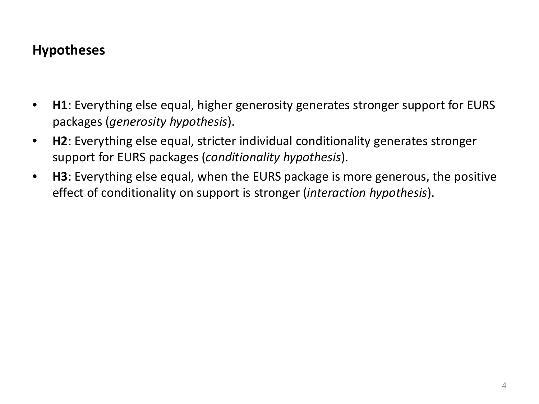## **Hypotheses**

- **H1**: Everything else equal, higher generosity generates stronger support for EURS packages (*generosity hypothesis*).
- **H2**: Everything else equal, stricter individual conditionality generates stronger support for EURS packages (*conditionality hypothesis*).
- **H3**: Everything else equal, when the EURS package is more generous, the positive effect of conditionality on support is stronger (*interaction hypothesis*).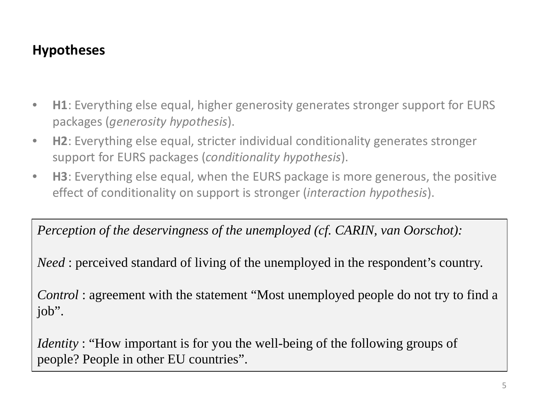# **Hypotheses**

- **H1**: Everything else equal, higher generosity generates stronger support for EURS packages (*generosity hypothesis*).
- **H2**: Everything else equal, stricter individual conditionality generates stronger support for EURS packages (*conditionality hypothesis*).
- **H3**: Everything else equal, when the EURS package is more generous, the positive effect of conditionality on support is stronger (*interaction hypothesis*).

*Perception of the deservingness of the unemployed (cf. CARIN, van Oorschot):*

*Need*: perceived standard of living of the unemployed in the respondent's country.

*Control* : agreement with the statement "Most unemployed people do not try to find a job".

*Identity*: "How important is for you the well-being of the following groups of people? People in other EU countries".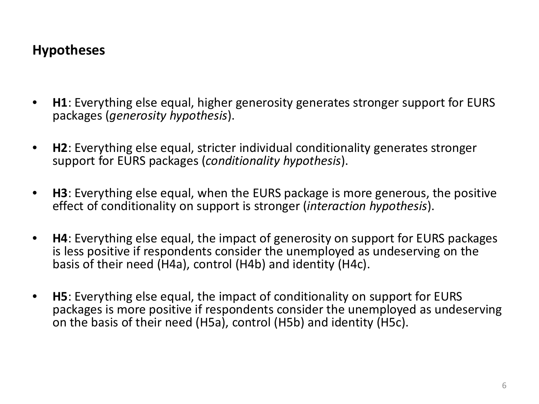## **Hypotheses**

- **H1**: Everything else equal, higher generosity generates stronger support for EURS packages (*generosity hypothesis*).
- **H2**: Everything else equal, stricter individual conditionality generates stronger support for EURS packages (*conditionality hypothesis*).
- **H3**: Everything else equal, when the EURS package is more generous, the positive effect of conditionality on support is stronger (*interaction hypothesis*).
- **H4**: Everything else equal, the impact of generosity on support for EURS packages is less positive if respondents consider the unemployed as undeserving on the basis of their need (H4a), control (H4b) and identity (H4c).
- **H5**: Everything else equal, the impact of conditionality on support for EURS packages is more positive if respondents consider the unemployed as undeserving on the basis of their need (H5a), control (H5b) and identity (H5c).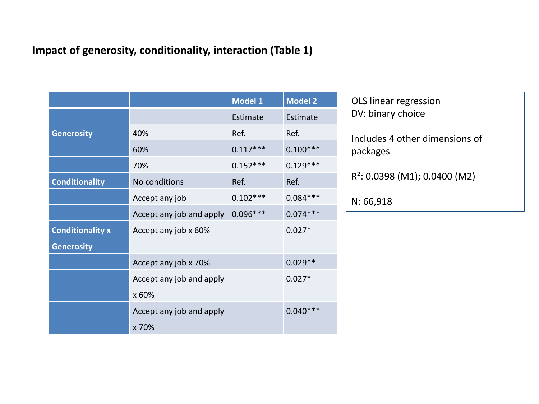#### **Impact of generosity, conditionality, interaction (Table 1)**

|                         |                          | Model <sub>1</sub> | <b>Model 2</b> |
|-------------------------|--------------------------|--------------------|----------------|
|                         |                          | Estimate           | Estimate       |
| <b>Generosity</b>       | 40%                      | Ref.               | Ref.           |
|                         | 60%                      | $0.117***$         | $0.100***$     |
|                         | 70%                      | $0.152***$         | $0.129***$     |
| <b>Conditionality</b>   | No conditions            | Ref.               | Ref.           |
|                         | Accept any job           | $0.102***$         | $0.084***$     |
|                         | Accept any job and apply | $0.096***$         | $0.074***$     |
| <b>Conditionality x</b> | Accept any job x 60%     |                    | $0.027*$       |
| <b>Generosity</b>       |                          |                    |                |
|                         | Accept any job x 70%     |                    | $0.029**$      |
|                         | Accept any job and apply |                    | $0.027*$       |
|                         | x 60%                    |                    |                |
|                         | Accept any job and apply |                    | $0.040***$     |
|                         | x 70%                    |                    |                |

OLS linear regression DV: binary choice

Includes 4 other dimensions of packages

R²: 0.0398 (M1); 0.0400 (M2)

N: 66,918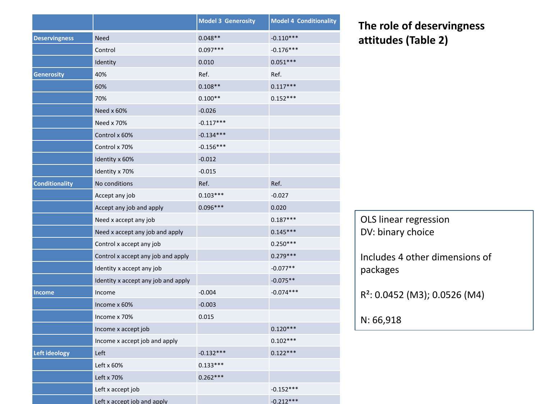|                       |                                     | <b>Model 3 Generosity</b> | <b>Model 4 Conditionality</b> |
|-----------------------|-------------------------------------|---------------------------|-------------------------------|
| <b>Deservingness</b>  | <b>Need</b>                         | $0.048**$                 | $-0.110***$                   |
|                       | Control                             | $0.097***$                | $-0.176***$                   |
|                       | Identity                            | 0.010                     | $0.051***$                    |
| <b>Generosity</b>     | 40%                                 | Ref.                      | Ref.                          |
|                       | 60%                                 | $0.108**$                 | $0.117***$                    |
|                       | 70%                                 | $0.100**$                 | $0.152***$                    |
|                       | Need x 60%                          | $-0.026$                  |                               |
|                       | Need x 70%                          | $-0.117***$               |                               |
|                       | Control x 60%                       | $-0.134***$               |                               |
|                       | Control x 70%                       | $-0.156***$               |                               |
|                       | Identity x 60%                      | $-0.012$                  |                               |
|                       | Identity x 70%                      | $-0.015$                  |                               |
| <b>Conditionality</b> | No conditions                       | Ref.                      | Ref.                          |
|                       | Accept any job                      | $0.103***$                | $-0.027$                      |
|                       | Accept any job and apply            | $0.096***$                | 0.020                         |
|                       | Need x accept any job               |                           | $0.187***$                    |
|                       | Need x accept any job and apply     |                           | $0.145***$                    |
|                       | Control x accept any job            |                           | $0.250***$                    |
|                       | Control x accept any job and apply  |                           | $0.279***$                    |
|                       | Identity x accept any job           |                           | $-0.077**$                    |
|                       | Identity x accept any job and apply |                           | $-0.075**$                    |
| Income                | Income                              | $-0.004$                  | $-0.074***$                   |
|                       | Income x 60%                        | $-0.003$                  |                               |
|                       | Income x 70%                        | 0.015                     |                               |
|                       | Income x accept job                 |                           | $0.120***$                    |
|                       | Income x accept job and apply       |                           | $0.102***$                    |
| Left ideology         | Left                                | $-0.132***$               | $0.122***$                    |
|                       | Left x 60%                          | $0.133***$                |                               |
|                       | Left x 70%                          | $0.262***$                |                               |
|                       | Left x accept job                   |                           | $-0.152***$                   |
|                       | Left x accept iob and apply         |                           | $-0.212***$                   |

### **The role of deservingness attitudes (Table 2)**

| OLS linear regression<br>DV: binary choice |  |
|--------------------------------------------|--|
| Includes 4 other dimensions of<br>packages |  |
| R <sup>2</sup> : 0.0452 (M3); 0.0526 (M4)  |  |
| N: 66,918                                  |  |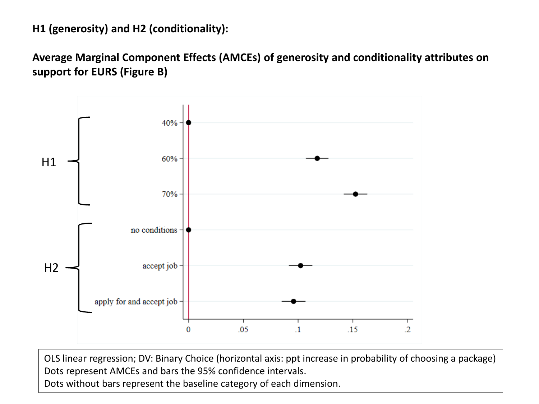#### **H1 (generosity) and H2 (conditionality):**

**Average Marginal Component Effects (AMCEs) of generosity and conditionality attributes on support for EURS (Figure B)**



OLS linear regression; DV: Binary Choice (horizontal axis: ppt increase in probability of choosing a package) Dots represent AMCEs and bars the 95% confidence intervals.

Dots without bars represent the baseline category of each dimension.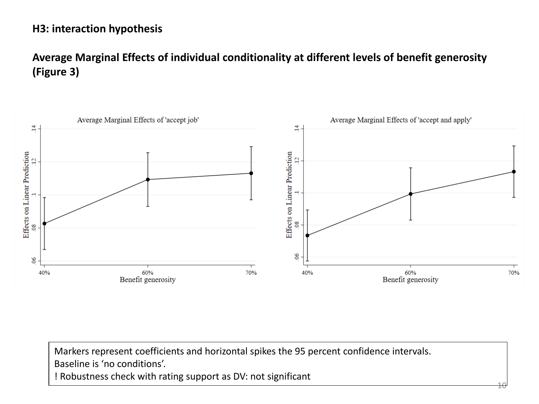#### **H3: interaction hypothesis**

#### **Average Marginal Effects of individual conditionality at different levels of benefit generosity (Figure 3)**



Markers represent coefficients and horizontal spikes the 95 percent confidence intervals. Baseline is 'no conditions'. ! Robustness check with rating support as DV: not significant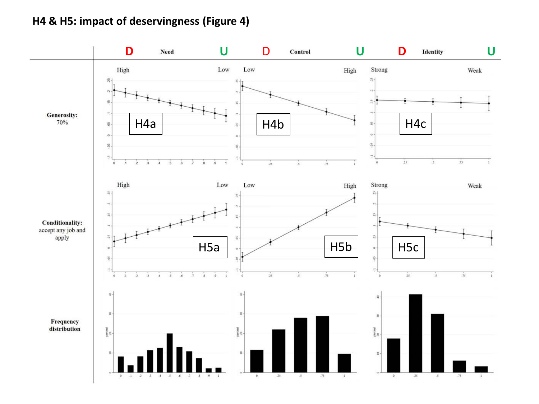#### **H4 & H5: impact of deservingness (Figure 4)**

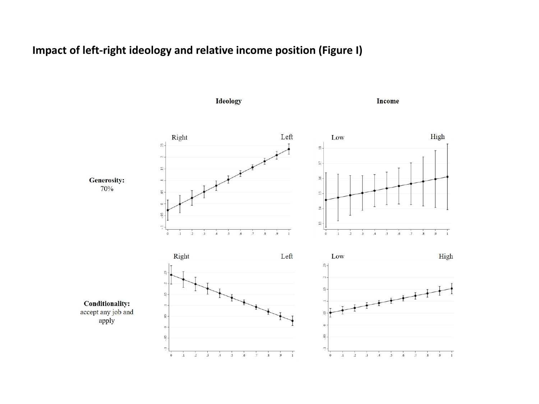#### **Impact of left-right ideology and relative income position (Figure I)**

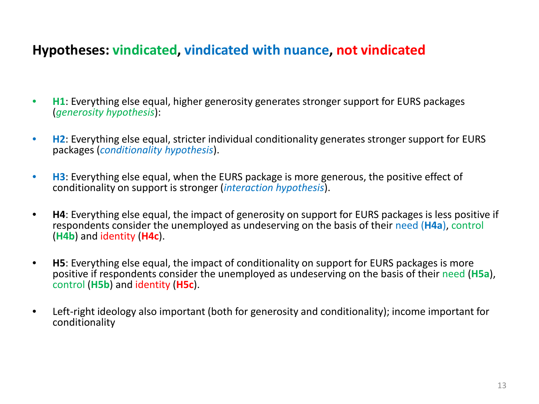### **Hypotheses: vindicated, vindicated with nuance, not vindicated**

- **H1**: Everything else equal, higher generosity generates stronger support for EURS packages (*generosity hypothesis*):
- **H2**: Everything else equal, stricter individual conditionality generates stronger support for EURS packages (*conditionality hypothesis*).
- **H3**: Everything else equal, when the EURS package is more generous, the positive effect of conditionality on support is stronger (*interaction hypothesis*).
- **H4**: Everything else equal, the impact of generosity on support for EURS packages is less positive if respondents consider the unemployed as undeserving on the basis of their need (**H4a**), control (**H4b**) and identity (**H4c**).
- **H5**: Everything else equal, the impact of conditionality on support for EURS packages is more positive if respondents consider the unemployed as undeserving on the basis of their need (**H5a**), control (**H5b**) and identity (**H5c**).
- Left-right ideology also important (both for generosity and conditionality); income important for conditionality